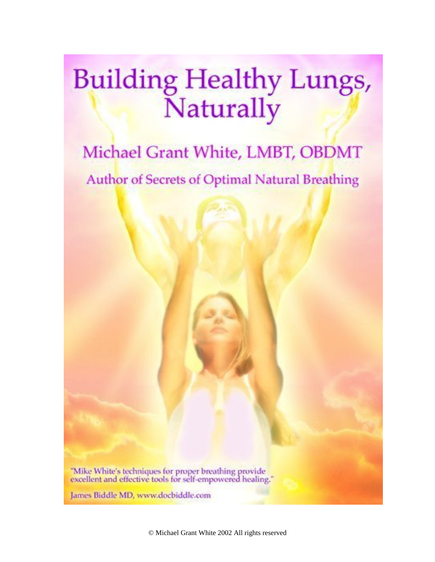# Building Healthy Lungs,

# Michael Grant White, LMBT, OBDMT **Author of Secrets of Optimal Natural Breathing**

"Mike White's techniques for proper breathing provide<br>excellent and effective tools for self-empowered healing."

James Biddle MD, www.docbiddle.com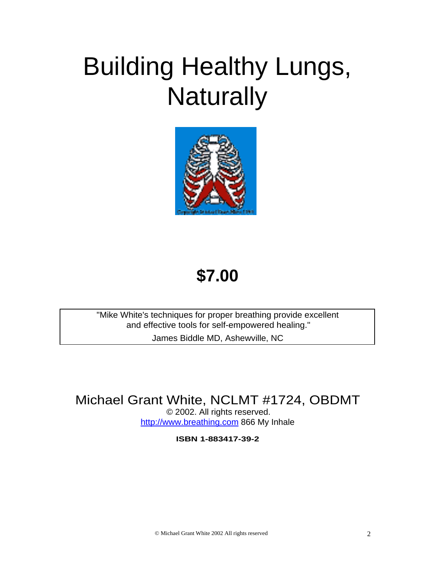# Building Healthy Lungs, **Naturally**



# **\$7.00**

# "Mike White's techniques for proper breathing provide excellent and effective tools for self-empowered healing."

James Biddle MD, Ashewville, NC

Michael Grant White, NCLMT #1724, OBDMT

 © 2002. All rights reserved. <http://www.breathing.com> 866 My Inhale

# **ISBN 1-883417-39-2**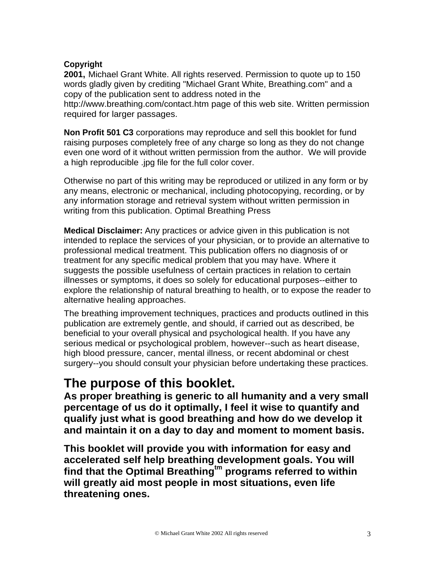# **Copyright**

**2001,** Michael Grant White. All rights reserved. Permission to quote up to 150 words gladly given by crediting "Michael Grant White, Breathing.com" and a copy of the publication sent to address noted in the <http://www.breathing.com/>contact.htm page of this web site. Written permission

required for larger passages.

**Non Profit 501 C3** corporations may reproduce and sell this booklet for fund raising purposes completely free of any charge so long as they do not change even one word of it without written permission from the author. We will provide a high reproducible .jpg file for the full color cover.

Otherwise no part of this writing may be reproduced or utilized in any form or by any means, electronic or mechanical, including photocopying, recording, or by any information storage and retrieval system without written permission in writing from this publication. Optimal Breathing Press

**Medical Disclaimer:** Any practices or advice given in this publication is not intended to replace the services of your physician, or to provide an alternative to professional medical treatment. This publication offers no diagnosis of or treatment for any specific medical problem that you may have. Where it suggests the possible usefulness of certain practices in relation to certain illnesses or symptoms, it does so solely for educational purposes--either to explore the relationship of natural breathing to health, or to expose the reader to alternative healing approaches.

The breathing improvement techniques, practices and products outlined in this publication are extremely gentle, and should, if carried out as described, be beneficial to your overall physical and psychological health. If you have any serious medical or psychological problem, however--such as heart disease, high blood pressure, cancer, mental illness, or recent abdominal or chest surgery--you should consult your physician before undertaking these practices.

# **The purpose of this booklet.**

**As proper breathing is generic to all humanity and a very small percentage of us do it optimally, I feel it wise to quantify and qualify just what is good breathing and how do we develop it and maintain it on a day to day and moment to moment basis.**

**This booklet will provide you with information for easy and accelerated self help breathing development goals. You will find that the Optimal Breathingtm programs referred to within will greatly aid most people in most situations, even life threatening ones.**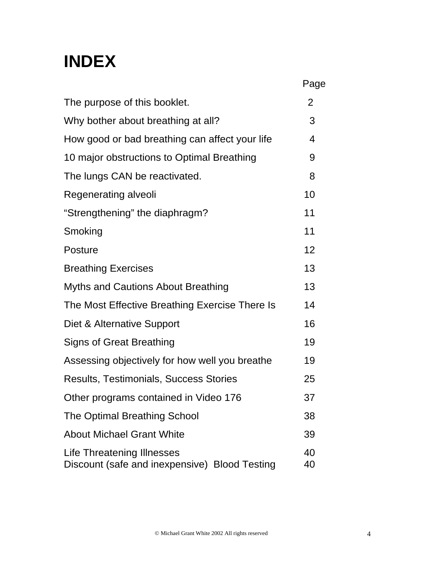# **INDEX**

|                                                                             | Page     |
|-----------------------------------------------------------------------------|----------|
| The purpose of this booklet.                                                | 2        |
| Why bother about breathing at all?                                          | 3        |
| How good or bad breathing can affect your life                              | 4        |
| 10 major obstructions to Optimal Breathing                                  | 9        |
| The lungs CAN be reactivated.                                               | 8        |
| Regenerating alveoli                                                        | 10       |
| "Strengthening" the diaphragm?                                              | 11       |
| Smoking                                                                     | 11       |
| Posture                                                                     | 12       |
| <b>Breathing Exercises</b>                                                  | 13       |
| <b>Myths and Cautions About Breathing</b>                                   | 13       |
| The Most Effective Breathing Exercise There Is                              | 14       |
| Diet & Alternative Support                                                  | 16       |
| <b>Signs of Great Breathing</b>                                             | 19       |
| Assessing objectively for how well you breathe                              | 19       |
| <b>Results, Testimonials, Success Stories</b>                               | 25       |
| Other programs contained in Video 176                                       | 37       |
| The Optimal Breathing School                                                | 38       |
| <b>About Michael Grant White</b>                                            | 39       |
| Life Threatening Illnesses<br>Discount (safe and inexpensive) Blood Testing | 40<br>40 |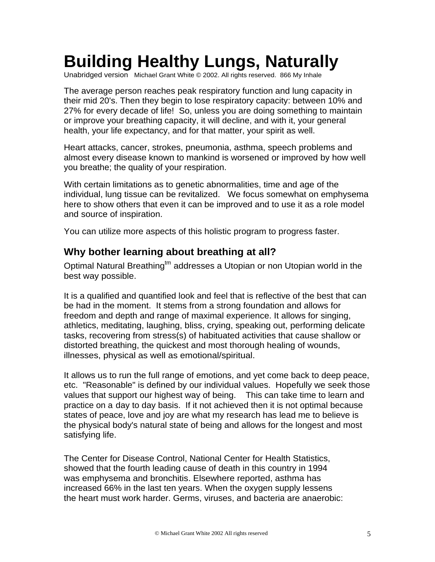# **Building Healthy Lungs, Naturally**

Unabridged version Michael Grant White © 2002. All rights reserved. 866 My Inhale

The average person reaches peak respiratory function and lung capacity in their mid 20's. Then they begin to lose respiratory capacity: between 10% and 27% for every decade of life! So, unless you are doing something to maintain or improve your breathing capacity, it will decline, and with it, your general health, your life expectancy, and for that matter, your spirit as well.

Heart attacks, cancer, strokes, pneumonia, asthma, speech problems and almost every disease known to mankind is worsened or improved by how well you breathe; the quality of your respiration.

With certain limitations as to genetic abnormalities, time and age of the individual, lung tissue can be revitalized. We focus somewhat on emphysema here to show others that even it can be improved and to use it as a role model and source of inspiration.

You can utilize more aspects of this holistic program to progress faster.

# **Why bother learning about breathing at all?**

Optimal Natural Breathing<sup>tm</sup> addresses a Utopian or non Utopian world in the best way possible.

It is a qualified and quantified look and feel that is reflective of the best that can be had in the moment. It stems from a strong foundation and allows for freedom and depth and range of maximal experience. It allows for singing, athletics, meditating, laughing, bliss, crying, speaking out, performing delicate tasks, recovering from stress(s) of habituated activities that cause shallow or distorted breathing, the quickest and most thorough healing of wounds, illnesses, physical as well as emotional/spiritual.

It allows us to run the full range of emotions, and yet come back to deep peace, etc. "Reasonable" is defined by our individual values. Hopefully we seek those values that support our highest way of being. This can take time to learn and practice on a day to day basis. If it not achieved then it is not optimal because states of peace, love and joy are what my research has lead me to believe is the physical body's natural state of being and allows for the longest and most satisfying life.

The Center for Disease Control, National Center for Health Statistics, showed that the fourth leading cause of death in this country in 1994 was emphysema and bronchitis. Elsewhere reported, asthma has increased 66% in the last ten years. When the oxygen supply lessens the heart must work harder. Germs, viruses, and bacteria are anaerobic: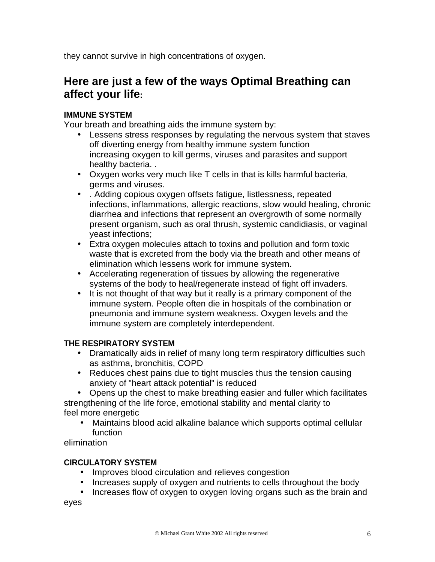they cannot survive in high concentrations of oxygen.

# **Here are just a few of the ways Optimal Breathing can affect your life:**

# **IMMUNE SYSTEM**

Your breath and breathing aids the immune system by:

- Lessens stress responses by regulating the nervous system that staves off diverting energy from healthy immune system function increasing oxygen to kill germs, viruses and parasites and support healthy bacteria. .
- Oxygen works very much like T cells in that is kills harmful bacteria, germs and viruses.
- . Adding copious oxygen offsets fatigue, listlessness, repeated infections, inflammations, allergic reactions, slow would healing, chronic diarrhea and infections that represent an overgrowth of some normally present organism, such as oral thrush, systemic candidiasis, or vaginal yeast infections;
- Extra oxygen molecules attach to toxins and pollution and form toxic waste that is excreted from the body via the breath and other means of elimination which lessens work for immune system.
- Accelerating regeneration of tissues by allowing the regenerative systems of the body to heal/regenerate instead of fight off invaders.
- It is not thought of that way but it really is a primary component of the immune system. People often die in hospitals of the combination or pneumonia and immune system weakness. Oxygen levels and the immune system are completely interdependent.

# **THE RESPIRATORY SYSTEM**

- Dramatically aids in relief of many long term respiratory difficulties such as asthma, bronchitis, COPD
- Reduces chest pains due to tight muscles thus the tension causing anxiety of "heart attack potential" is reduced

• Opens up the chest to make breathing easier and fuller which facilitates strengthening of the life force, emotional stability and mental clarity to feel more energetic

• Maintains blood acid alkaline balance which supports optimal cellular function

elimination

# **CIRCULATORY SYSTEM**

- Improves blood circulation and relieves congestion
- Increases supply of oxygen and nutrients to cells throughout the body
- Increases flow of oxygen to oxygen loving organs such as the brain and

eyes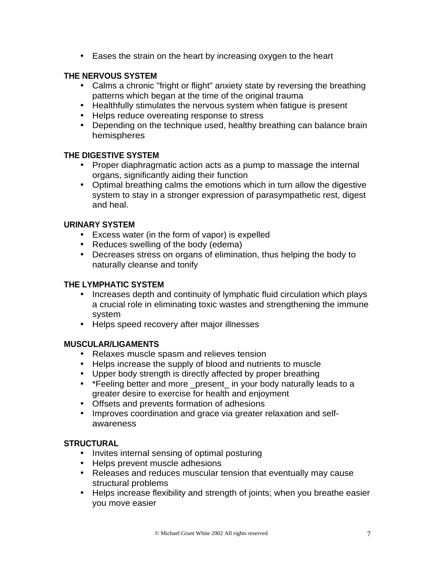• Eases the strain on the heart by increasing oxygen to the heart

# **THE NERVOUS SYSTEM**

- Calms a chronic "fright or flight" anxiety state by reversing the breathing patterns which began at the time of the original trauma
- Healthfully stimulates the nervous system when fatigue is present
- Helps reduce overeating response to stress
- Depending on the technique used, healthy breathing can balance brain hemispheres

# **THE DIGESTIVE SYSTEM**

- Proper diaphragmatic action acts as a pump to massage the internal organs, significantly aiding their function
- Optimal breathing calms the emotions which in turn allow the digestive system to stay in a stronger expression of parasympathetic rest, digest and heal.

# **URINARY SYSTEM**

- Excess water (in the form of vapor) is expelled
- Reduces swelling of the body (edema)
- Decreases stress on organs of elimination, thus helping the body to naturally cleanse and tonify

# **THE LYMPHATIC SYSTEM**

- Increases depth and continuity of lymphatic fluid circulation which plays a crucial role in eliminating toxic wastes and strengthening the immune system
- Helps speed recovery after major illnesses

# **MUSCULAR/LIGAMENTS**

- Relaxes muscle spasm and relieves tension
- Helps increase the supply of blood and nutrients to muscle
- Upper body strength is directly affected by proper breathing
- \*Feeling better and more \_present\_ in your body naturally leads to a greater desire to exercise for health and enjoyment
- Offsets and prevents formation of adhesions
- Improves coordination and grace via greater relaxation and selfawareness

# **STRUCTURAL**

- Invites internal sensing of optimal posturing
- Helps prevent muscle adhesions
- Releases and reduces muscular tension that eventually may cause structural problems
- Helps increase flexibility and strength of joints; when you breathe easier you move easier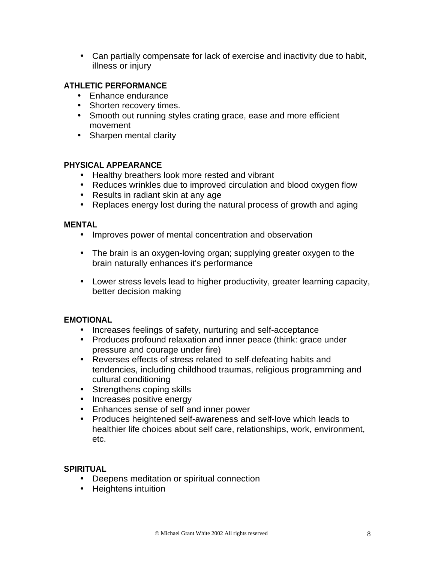• Can partially compensate for lack of exercise and inactivity due to habit, illness or injury

# **ATHLETIC PERFORMANCE**

- Enhance endurance
- Shorten recovery times.
- Smooth out running styles crating grace, ease and more efficient movement
- Sharpen mental clarity

# **PHYSICAL APPEARANCE**

- Healthy breathers look more rested and vibrant
- Reduces wrinkles due to improved circulation and blood oxygen flow
- Results in radiant skin at any age
- Replaces energy lost during the natural process of growth and aging

## **MENTAL**

- Improves power of mental concentration and observation
- The brain is an oxygen-loving organ; supplying greater oxygen to the brain naturally enhances it's performance
- Lower stress levels lead to higher productivity, greater learning capacity, better decision making

# **EMOTIONAL**

- Increases feelings of safety, nurturing and self-acceptance
- Produces profound relaxation and inner peace (think: grace under pressure and courage under fire)
- Reverses effects of stress related to self-defeating habits and tendencies, including childhood traumas, religious programming and cultural conditioning
- Strengthens coping skills
- Increases positive energy
- Enhances sense of self and inner power
- Produces heightened self-awareness and self-love which leads to healthier life choices about self care, relationships, work, environment, etc.

#### **SPIRITUAL**

- Deepens meditation or spiritual connection
- Heightens intuition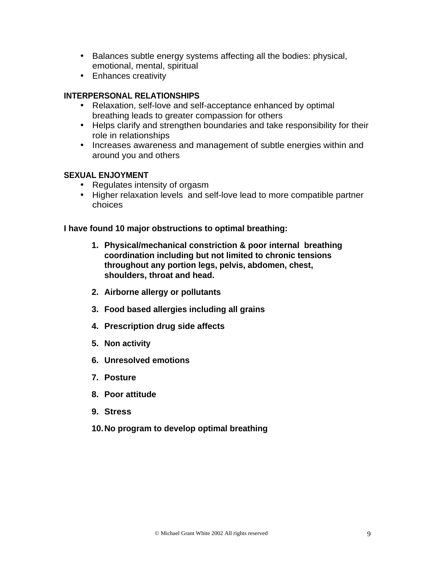- Balances subtle energy systems affecting all the bodies: physical, emotional, mental, spiritual
- Enhances creativity

# **INTERPERSONAL RELATIONSHIPS**

- Relaxation, self-love and self-acceptance enhanced by optimal breathing leads to greater compassion for others
- Helps clarify and strengthen boundaries and take responsibility for their role in relationships
- Increases awareness and management of subtle energies within and around you and others

## **SEXUAL ENJOYMENT**

- Regulates intensity of orgasm
- Higher relaxation levels and self-love lead to more compatible partner choices

## **I have found 10 major obstructions to optimal breathing:**

- **1. Physical/mechanical constriction & poor internal breathing coordination including but not limited to chronic tensions throughout any portion legs, pelvis, abdomen, chest, shoulders, throat and head.**
- **2. Airborne allergy or pollutants**
- **3. Food based allergies including all grains**
- **4. Prescription drug side affects**
- **5. Non activity**
- **6. Unresolved emotions**
- **7. Posture**
- **8. Poor attitude**
- **9. Stress**
- **10.No program to develop optimal breathing**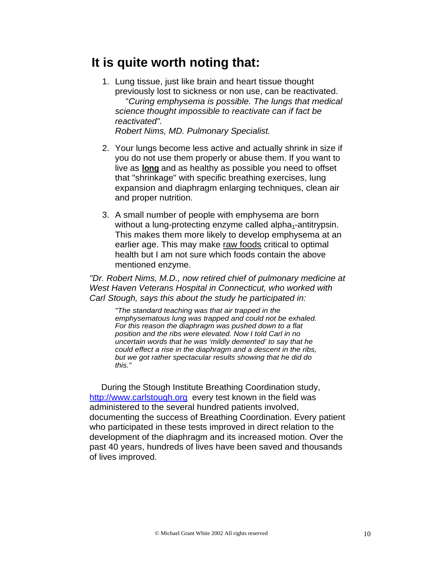# **It is quite worth noting that:**

- 1. Lung tissue, just like brain and heart tissue thought previously lost to sickness or non use, can be reactivated. "Curing emphysema is possible. The lungs that medical science thought impossible to reactivate can if fact be reactivated". Robert Nims, MD. Pulmonary Specialist.
- 2. Your lungs become less active and actually shrink in size if you do not use them properly or abuse them. If you want to live as **long** and as healthy as possible you need to offset that "shrinkage" with specific breathing exercises, lung expansion and diaphragm enlarging techniques, clean air and proper nutrition.
- 3. A small number of people with emphysema are born without a lung-protecting enzyme called alpha<sub>1</sub>-antitrypsin. This makes them more likely to develop emphysema at an earlier age. This may make raw foods critical to optimal health but I am not sure which foods contain the above mentioned enzyme.

"Dr. Robert Nims, M.D., now retired chief of pulmonary medicine at West Haven Veterans Hospital in Connecticut, who worked with Carl Stough, says this about the study he participated in:

"The standard teaching was that air trapped in the emphysematous lung was trapped and could not be exhaled. For this reason the diaphragm was pushed down to a flat position and the ribs were elevated. Now I told Carl in no uncertain words that he was 'mildly demented' to say that he could effect a rise in the diaphragm and a descent in the ribs, but we got rather spectacular results showing that he did do this."

 During the Stough Institute Breathing Coordination study, <http://www.carlstough.org> every test known in the field was administered to the several hundred patients involved, documenting the success of Breathing Coordination. Every patient who participated in these tests improved in direct relation to the development of the diaphragm and its increased motion. Over the past 40 years, hundreds of lives have been saved and thousands of lives improved.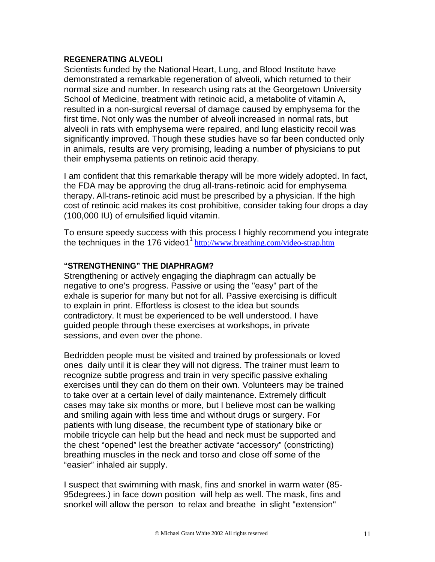## **REGENERATING ALVEOLI**

Scientists funded by the National Heart, Lung, and Blood Institute have demonstrated a remarkable regeneration of alveoli, which returned to their normal size and number. In research using rats at the Georgetown University School of Medicine, treatment with retinoic acid, a metabolite of vitamin A, resulted in a non-surgical reversal of damage caused by emphysema for the first time. Not only was the number of alveoli increased in normal rats, but alveoli in rats with emphysema were repaired, and lung elasticity recoil was significantly improved. Though these studies have so far been conducted only in animals, results are very promising, leading a number of physicians to put their emphysema patients on retinoic acid therapy.

I am confident that this remarkable therapy will be more widely adopted. In fact, the FDA may be approving the drug all-trans-retinoic acid for emphysema therapy. All-trans-retinoic acid must be prescribed by a physician. If the high cost of retinoic acid makes its cost prohibitive, consider taking four drops a day (100,000 IU) of emulsified liquid vitamin.

To ensure speedy success with this process I highly recommend you integrate the techniques in the 176 video1<sup>1</sup> <http://www.breathing.com/video-strap.htm>

## **"STRENGTHENING" THE DIAPHRAGM?**

Strengthening or actively engaging the diaphragm can actually be negative to one's progress. Passive or using the "easy" part of the exhale is superior for many but not for all. Passive exercising is difficult to explain in print. Effortless is closest to the idea but sounds contradictory. It must be experienced to be well understood. I have guided people through these exercises at workshops, in private sessions, and even over the phone.

Bedridden people must be visited and trained by professionals or loved ones daily until it is clear they will not digress. The trainer must learn to recognize subtle progress and train in very specific passive exhaling exercises until they can do them on their own. Volunteers may be trained to take over at a certain level of daily maintenance. Extremely difficult cases may take six months or more, but I believe most can be walking and smiling again with less time and without drugs or surgery. For patients with lung disease, the recumbent type of stationary bike or mobile tricycle can help but the head and neck must be supported and the chest "opened" lest the breather activate "accessory" (constricting) breathing muscles in the neck and torso and close off some of the "easier" inhaled air supply.

I suspect that swimming with mask, fins and snorkel in warm water (85- 95degrees.) in face down position will help as well. The mask, fins and snorkel will allow the person to relax and breathe in slight "extension"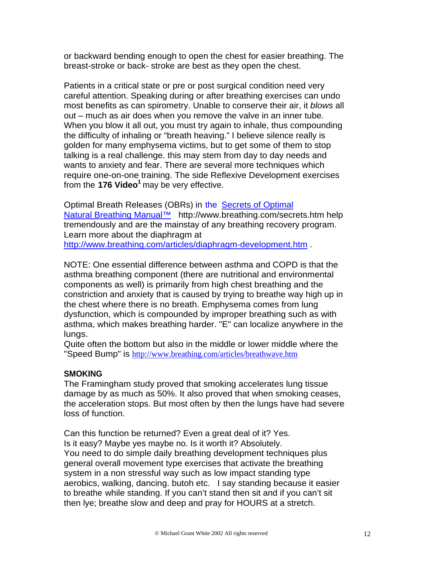or backward bending enough to open the chest for easier breathing. The breast-stroke or back- stroke are best as they open the chest.

Patients in a critical state or pre or post surgical condition need very careful attention. Speaking during or after breathing exercises can undo most benefits as can spirometry. Unable to conserve their air, it blows all out – much as air does when you remove the valve in an inner tube. When you blow it all out, you must try again to inhale, thus compounding the difficulty of inhaling or "breath heaving." I believe silence really is golden for many emphysema victims, but to get some of them to stop talking is a real challenge. this may stem from day to day needs and wants to anxiety and fear. There are several more techniques which require one-on-one training. The side Reflexive Development exercises from the **176 Video<sup>1</sup>** may be very effective.

Optimal Breath Releases (OBRs) in the Secrets of Optimal Natural Breathing Manual™ <http://www.breathing.com/secrets.htm> help tremendously and are the mainstay of any breathing recovery program. Learn more about the diaphragm at <http://www.breathing.com/articles/diaphragm-development.htm> .

NOTE: One essential difference between asthma and COPD is that the asthma breathing component (there are nutritional and environmental components as well) is primarily from high chest breathing and the constriction and anxiety that is caused by trying to breathe way high up in the chest where there is no breath. Emphysema comes from lung dysfunction, which is compounded by improper breathing such as with asthma, which makes breathing harder. "E" can localize anywhere in the lungs.

Quite often the bottom but also in the middle or lower middle where the "Speed Bump" is <http://www.breathing.com/articles/breathwave.htm>

# **SMOKING**

The Framingham study proved that smoking accelerates lung tissue damage by as much as 50%. It also proved that when smoking ceases, the acceleration stops. But most often by then the lungs have had severe loss of function.

Can this function be returned? Even a great deal of it? Yes. Is it easy? Maybe yes maybe no. Is it worth it? Absolutely. You need to do simple daily breathing development techniques plus general overall movement type exercises that activate the breathing system in a non stressful way such as low impact standing type aerobics, walking, dancing. butoh etc. I say standing because it easier to breathe while standing. If you can't stand then sit and if you can't sit then lye; breathe slow and deep and pray for HOURS at a stretch.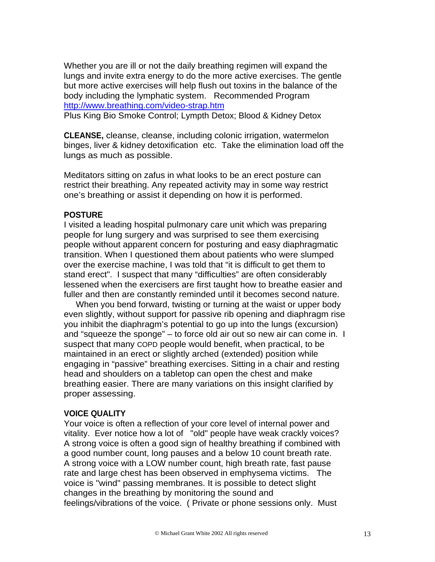Whether you are ill or not the daily breathing regimen will expand the lungs and invite extra energy to do the more active exercises. The gentle but more active exercises will help flush out toxins in the balance of the body including the lymphatic system. Recommended Program <http://www.breathing.com/video-strap.htm>

Plus King Bio Smoke Control; Lympth Detox; Blood & Kidney Detox

**CLEANSE,** cleanse, cleanse, including colonic irrigation, watermelon binges, liver & kidney detoxification etc. Take the elimination load off the lungs as much as possible.

Meditators sitting on zafus in what looks to be an erect posture can restrict their breathing. Any repeated activity may in some way restrict one's breathing or assist it depending on how it is performed.

## **POSTURE**

I visited a leading hospital pulmonary care unit which was preparing people for lung surgery and was surprised to see them exercising people without apparent concern for posturing and easy diaphragmatic transition. When I questioned them about patients who were slumped over the exercise machine, I was told that "it is difficult to get them to stand erect". I suspect that many "difficulties" are often considerably lessened when the exercisers are first taught how to breathe easier and fuller and then are constantly reminded until it becomes second nature.

 When you bend forward, twisting or turning at the waist or upper body even slightly, without support for passive rib opening and diaphragm rise you inhibit the diaphragm's potential to go up into the lungs (excursion) and "squeeze the sponge" – to force old air out so new air can come in. I suspect that many COPD people would benefit, when practical, to be maintained in an erect or slightly arched (extended) position while engaging in "passive" breathing exercises. Sitting in a chair and resting head and shoulders on a tabletop can open the chest and make breathing easier. There are many variations on this insight clarified by proper assessing.

# **VOICE QUALITY**

Your voice is often a reflection of your core level of internal power and vitality. Ever notice how a lot of "old" people have weak crackly voices? A strong voice is often a good sign of healthy breathing if combined with a good number count, long pauses and a below 10 count breath rate. A strong voice with a LOW number count, high breath rate, fast pause rate and large chest has been observed in emphysema victims. The voice is "wind" passing membranes. It is possible to detect slight changes in the breathing by monitoring the sound and feelings/vibrations of the voice. ( Private or phone sessions only. Must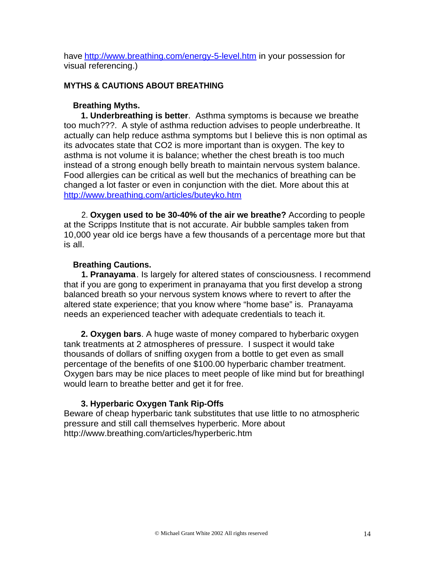have<http://www.breathing.com/energy-5-level.htm> in your possession for visual referencing.)

# **MYTHS & CAUTIONS ABOUT BREATHING**

# **Breathing Myths.**

 **1. Underbreathing is better**. Asthma symptoms is because we breathe too much???. A style of asthma reduction advises to people underbreathe. It actually can help reduce asthma symptoms but I believe this is non optimal as its advocates state that CO2 is more important than is oxygen. The key to asthma is not volume it is balance; whether the chest breath is too much instead of a strong enough belly breath to maintain nervous system balance. Food allergies can be critical as well but the mechanics of breathing can be changed a lot faster or even in conjunction with the diet. More about this at <http://www.breathing.com/articles/buteyko.htm>

 2. **Oxygen used to be 30-40% of the air we breathe?** According to people at the Scripps Institute that is not accurate. Air bubble samples taken from 10,000 year old ice bergs have a few thousands of a percentage more but that is all.

# **Breathing Cautions.**

 **1. Pranayama**. Is largely for altered states of consciousness. I recommend that if you are gong to experiment in pranayama that you first develop a strong balanced breath so your nervous system knows where to revert to after the altered state experience; that you know where "home base" is. Pranayama needs an experienced teacher with adequate credentials to teach it.

 **2. Oxygen bars**. A huge waste of money compared to hyberbaric oxygen tank treatments at 2 atmospheres of pressure. I suspect it would take thousands of dollars of sniffing oxygen from a bottle to get even as small percentage of the benefits of one \$100.00 hyperbaric chamber treatment. Oxygen bars may be nice places to meet people of like mind but for breathingI would learn to breathe better and get it for free.

# **3. Hyperbaric Oxygen Tank Rip-Offs**

Beware of cheap hyperbaric tank substitutes that use little to no atmospheric pressure and still call themselves hyperberic. More about <http://www.breathing.com/articles/hyperberic.htm>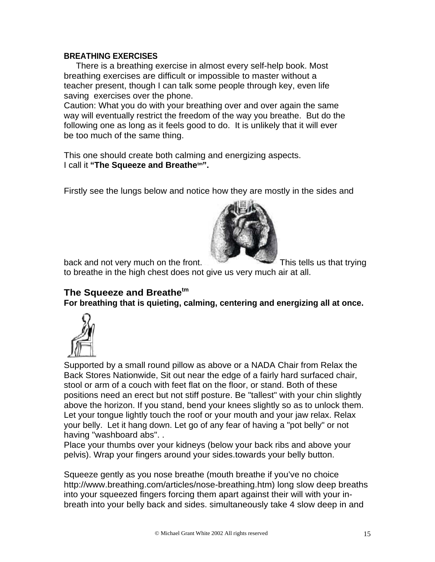# **BREATHING EXERCISES**

 There is a breathing exercise in almost every self-help book. Most breathing exercises are difficult or impossible to master without a teacher present, though I can talk some people through key, even life saving exercises over the phone.

Caution: What you do with your breathing over and over again the same way will eventually restrict the freedom of the way you breathe. But do the following one as long as it feels good to do. It is unlikely that it will ever be too much of the same thing.

This one should create both calming and energizing aspects. I call it **"The Squeeze and Breathetm".**

Firstly see the lungs below and notice how they are mostly in the sides and



back and not very much on the front. This tells us that trying

to breathe in the high chest does not give us very much air at all.

# **The Squeeze and Breathetm**

**For breathing that is quieting, calming, centering and energizing all at once.**



Supported by a small round pillow as above or a NADA Chair from Relax the Back Stores Nationwide, Sit out near the edge of a fairly hard surfaced chair, stool or arm of a couch with feet flat on the floor, or stand. Both of these positions need an erect but not stiff posture. Be "tallest" with your chin slightly above the horizon. If you stand, bend your knees slightly so as to unlock them. Let your tongue lightly touch the roof or your mouth and your jaw relax. Relax your belly. Let it hang down. Let go of any fear of having a "pot belly" or not having "washboard abs". .

Place your thumbs over your kidneys (below your back ribs and above your pelvis). Wrap your fingers around your sides.towards your belly button.

Squeeze gently as you nose breathe (mouth breathe if you've no choice http://www.breathing.com/articles/nose-breathing.htm) long slow deep breaths into your squeezed fingers forcing them apart against their will with your inbreath into your belly back and sides. simultaneously take 4 slow deep in and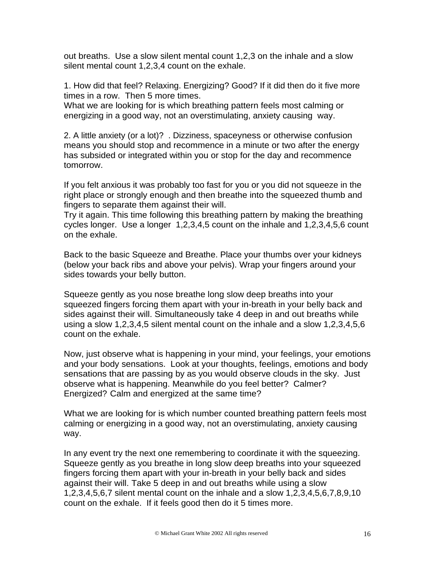out breaths. Use a slow silent mental count 1,2,3 on the inhale and a slow silent mental count 1,2,3,4 count on the exhale.

1. How did that feel? Relaxing. Energizing? Good? If it did then do it five more times in a row. Then 5 more times.

What we are looking for is which breathing pattern feels most calming or energizing in a good way, not an overstimulating, anxiety causing way.

2. A little anxiety (or a lot)? . Dizziness, spaceyness or otherwise confusion means you should stop and recommence in a minute or two after the energy has subsided or integrated within you or stop for the day and recommence tomorrow.

If you felt anxious it was probably too fast for you or you did not squeeze in the right place or strongly enough and then breathe into the squeezed thumb and fingers to separate them against their will.

Try it again. This time following this breathing pattern by making the breathing cycles longer. Use a longer 1,2,3,4,5 count on the inhale and 1,2,3,4,5,6 count on the exhale.

Back to the basic Squeeze and Breathe. Place your thumbs over your kidneys (below your back ribs and above your pelvis). Wrap your fingers around your sides towards your belly button.

Squeeze gently as you nose breathe long slow deep breaths into your squeezed fingers forcing them apart with your in-breath in your belly back and sides against their will. Simultaneously take 4 deep in and out breaths while using a slow 1,2,3,4,5 silent mental count on the inhale and a slow 1,2,3,4,5,6 count on the exhale.

Now, just observe what is happening in your mind, your feelings, your emotions and your body sensations. Look at your thoughts, feelings, emotions and body sensations that are passing by as you would observe clouds in the sky. Just observe what is happening. Meanwhile do you feel better? Calmer? Energized? Calm and energized at the same time?

What we are looking for is which number counted breathing pattern feels most calming or energizing in a good way, not an overstimulating, anxiety causing way.

In any event try the next one remembering to coordinate it with the squeezing. Squeeze gently as you breathe in long slow deep breaths into your squeezed fingers forcing them apart with your in-breath in your belly back and sides against their will. Take 5 deep in and out breaths while using a slow 1,2,3,4,5,6,7 silent mental count on the inhale and a slow 1,2,3,4,5,6,7,8,9,10 count on the exhale. If it feels good then do it 5 times more.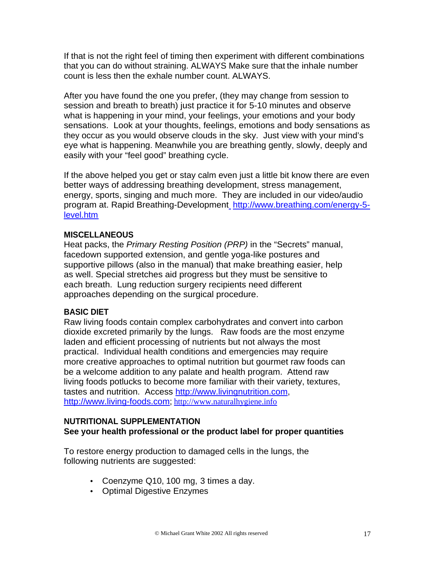If that is not the right feel of timing then experiment with different combinations that you can do without straining. ALWAYS Make sure that the inhale number count is less then the exhale number count. ALWAYS.

After you have found the one you prefer, (they may change from session to session and breath to breath) just practice it for 5-10 minutes and observe what is happening in your mind, your feelings, your emotions and your body sensations. Look at your thoughts, feelings, emotions and body sensations as they occur as you would observe clouds in the sky. Just view with your mind's eye what is happening. Meanwhile you are breathing gently, slowly, deeply and easily with your "feel good" breathing cycle.

If the above helped you get or stay calm even just a little bit know there are even better ways of addressing breathing development, stress management, energy, sports, singing and much more. They are included in our video/audio program at. Rapid Breathing-Development [http://www.breathing.com/energy-5](http://www.breathing.com/energy-5-) level.htm

# **MISCELLANEOUS**

Heat packs, the Primary Resting Position (PRP) in the "Secrets" manual, facedown supported extension, and gentle yoga-like postures and supportive pillows (also in the manual) that make breathing easier, help as well. Special stretches aid progress but they must be sensitive to each breath. Lung reduction surgery recipients need different approaches depending on the surgical procedure.

# **BASIC DIET**

Raw living foods contain complex carbohydrates and convert into carbon dioxide excreted primarily by the lungs. Raw foods are the most enzyme laden and efficient processing of nutrients but not always the most practical. Individual health conditions and emergencies may require more creative approaches to optimal nutrition but gourmet raw foods can be a welcome addition to any palate and health program. Attend raw living foods potlucks to become more familiar with their variety, textures, tastes and nutrition. Access <http://www.livingnutrition.com>, <http://www.living-foods.com>; <http://www.naturalhygiene.info>

## **NUTRITIONAL SUPPLEMENTATION See your health professional or the product label for proper quantities**

To restore energy production to damaged cells in the lungs, the following nutrients are suggested:

- Coenzyme Q10, 100 mg, 3 times a day.
- Optimal Digestive Enzymes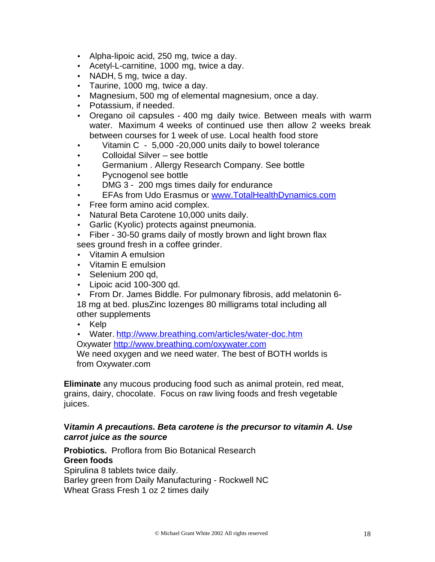- Alpha-lipoic acid, 250 mg, twice a day.
- Acetyl-L-carnitine, 1000 mg, twice a day.
- NADH, 5 mg, twice a day.
- Taurine, 1000 mg, twice a day.
- Magnesium, 500 mg of elemental magnesium, once a day.
- Potassium, if needed.
- Oregano oil capsules 400 mg daily twice. Between meals with warm water. Maximum 4 weeks of continued use then allow 2 weeks break between courses for 1 week of use. Local health food store
- Vitamin C 5,000 -20,000 units daily to bowel tolerance
- Colloidal Silver see bottle
- Germanium . Allergy Research Company. See bottle
- Pycnogenol see bottle
- DMG 3 200 mgs times daily for endurance
- EFAs from Udo Erasmus or www.TotalHealthDynamics.com
- Free form amino acid complex.
- Natural Beta Carotene 10,000 units daily.
- Garlic (Kyolic) protects against pneumonia.
- Fiber 30-50 grams daily of mostly brown and light brown flax sees ground fresh in a coffee grinder.
- Vitamin A emulsion
- Vitamin E emulsion
- Selenium 200 qd,
- Lipoic acid 100-300 qd.
- From Dr. James Biddle. For pulmonary fibrosis, add melatonin 6- 18 mg at bed. plusZinc lozenges 80 milligrams total including all other supplements
- Kelp
- Water.<http://www.breathing.com/articles/water-doc.htm> Oxywater <http://www.breathing.com/oxywater.com>

We need oxygen and we need water. The best of BOTH worlds is from Oxywater.com

**Eliminate** any mucous producing food such as animal protein, red meat, grains, dairy, chocolate. Focus on raw living foods and fresh vegetable juices.

## **Vitamin A precautions. Beta carotene is the precursor to vitamin A. Use carrot juice as the source**

**Probiotics.** Proflora from Bio Botanical Research **Green foods** Spirulina 8 tablets twice daily. Barley green from Daily Manufacturing - Rockwell NC

Wheat Grass Fresh 1 oz 2 times daily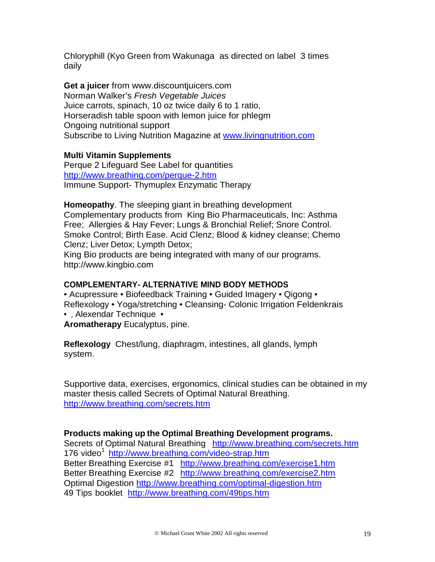Chloryphill (Kyo Green from Wakunaga as directed on label 3 times daily

**Get a juicer** from www.discountjuicers.com Norman Walker's Fresh Vegetable Juices Juice carrots, spinach, 10 oz twice daily 6 to 1 ratio, Horseradish table spoon with lemon juice for phlegm Ongoing nutritional support Subscribe to Living Nutrition Magazine at www.livingnutrition.com

# **Multi Vitamin Supplements**

Perque 2 Lifeguard See Label for quantities <http://www.breathing.com/perque-2.htm> Immune Support- Thymuplex Enzymatic Therapy

**Homeopathy**. The sleeping giant in breathing development Complementary products from King Bio Pharmaceuticals, Inc: Asthma Free; Allergies & Hay Fever; Lungs & Bronchial Relief; Snore Control. Smoke Control; Birth Ease. Acid Clenz; Blood & kidney cleanse; Chemo Clenz; Liver Detox; Lympth Detox;

King Bio products are being integrated with many of our programs. <http://www.kingbio.com>

# **COMPLEMENTARY- ALTERNATIVE MIND BODY METHODS**

• Acupressure • Biofeedback Training • Guided Imagery • Qigong • Reflexology • Yoga/stretching • Cleansing- Colonic Irrigation Feldenkrais • , Alexendar Technique •

**Aromatherapy** Eucalyptus, pine.

**Reflexology** Chest/lung, diaphragm, intestines, all glands, lymph system.

Supportive data, exercises, ergonomics, clinical studies can be obtained in my master thesis called Secrets of Optimal Natural Breathing. <http://www.breathing.com/secrets.htm>

#### **Products making up the Optimal Breathing Development programs.**

Secrets of Optimal Natural Breathing <http://www.breathing.com/secrets.htm> 176 video<sup>1</sup> <http://www.breathing.com/video-strap.htm> Better Breathing Exercise #1 <http://www.breathing.com/exercise1.htm> Better Breathing Exercise #2 <http://www.breathing.com/exercise2.htm> Optimal Digestion <http://www.breathing.com/optimal-digestion.htm> 49 Tips booklet <http://www.breathing.com/49tips.htm>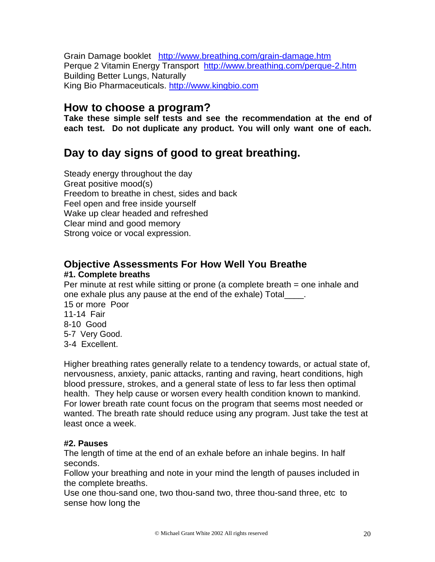Grain Damage booklet <http://www.breathing.com/grain-damage.htm> Perque 2 Vitamin Energy Transport <http://www.breathing.com/perque-2.htm> Building Better Lungs, Naturally King Bio Pharmaceuticals.<http://www.kingbio.com>

# **How to choose a program?**

**Take these simple self tests and see the recommendation at the end of each test. Do not duplicate any product. You will only want one of each.**

# **Day to day signs of good to great breathing.**

Steady energy throughout the day Great positive mood(s) Freedom to breathe in chest, sides and back Feel open and free inside yourself Wake up clear headed and refreshed Clear mind and good memory Strong voice or vocal expression.

# **Objective Assessments For How Well You Breathe**

# **#1. Complete breaths**

Per minute at rest while sitting or prone (a complete breath = one inhale and one exhale plus any pause at the end of the exhale) Total 15 or more Poor 11-14 Fair 8-10 Good 5-7 Very Good. 3-4 Excellent.

Higher breathing rates generally relate to a tendency towards, or actual state of, nervousness, anxiety, panic attacks, ranting and raving, heart conditions, high blood pressure, strokes, and a general state of less to far less then optimal health. They help cause or worsen every health condition known to mankind. For lower breath rate count focus on the program that seems most needed or wanted. The breath rate should reduce using any program. Just take the test at least once a week.

# **#2. Pauses**

The length of time at the end of an exhale before an inhale begins. In half seconds.

Follow your breathing and note in your mind the length of pauses included in the complete breaths.

Use one thou-sand one, two thou-sand two, three thou-sand three, etc to sense how long the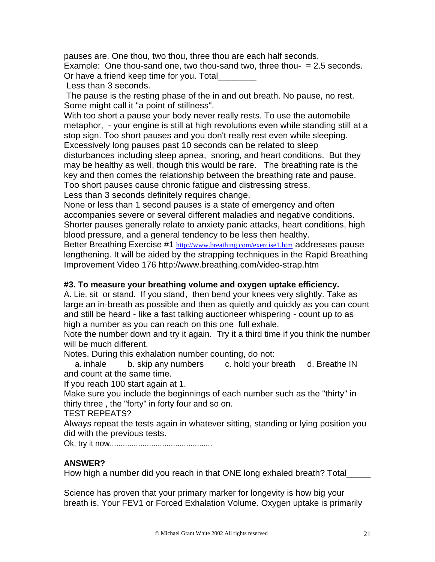pauses are. One thou, two thou, three thou are each half seconds. Example: One thou-sand one, two thou-sand two, three thou-  $= 2.5$  seconds. Or have a friend keep time for you. Total

Less than 3 seconds.

 The pause is the resting phase of the in and out breath. No pause, no rest. Some might call it "a point of stillness".

With too short a pause your body never really rests. To use the automobile metaphor, - your engine is still at high revolutions even while standing still at a stop sign. Too short pauses and you don't really rest even while sleeping. Excessively long pauses past 10 seconds can be related to sleep disturbances including sleep apnea, snoring, and heart conditions. But they may be healthy as well, though this would be rare. The breathing rate is the key and then comes the relationship between the breathing rate and pause. Too short pauses cause chronic fatigue and distressing stress.

Less than 3 seconds definitely requires change.

None or less than 1 second pauses is a state of emergency and often accompanies severe or several different maladies and negative conditions. Shorter pauses generally relate to anxiety panic attacks, heart conditions, high blood pressure, and a general tendency to be less then healthy.

Better Breathing Exercise #1 <http://www.breathing.com/exercise1.htm>addresses pause lengthening. It will be aided by the strapping techniques in the Rapid Breathing Improvement Video 176<http://www.breathing.com/video-strap.htm>

# **#3. To measure your breathing volume and oxygen uptake efficiency.**

A. Lie, sit or stand. If you stand, then bend your knees very slightly. Take as large an in-breath as possible and then as quietly and quickly as you can count and still be heard - like a fast talking auctioneer whispering - count up to as high a number as you can reach on this one full exhale.

Note the number down and try it again. Try it a third time if you think the number will be much different.

Notes. During this exhalation number counting, do not:

 a. inhale b. skip any numbers c. hold your breath d. Breathe IN and count at the same time.

If you reach 100 start again at 1.

Make sure you include the beginnings of each number such as the "thirty" in thirty three , the "forty" in forty four and so on.

TEST REPEATS?

Always repeat the tests again in whatever sitting, standing or lying position you did with the previous tests.

Ok, try it now...............................................

# **ANSWER?**

How high a number did you reach in that ONE long exhaled breath? Total

Science has proven that your primary marker for longevity is how big your breath is. Your FEV1 or Forced Exhalation Volume. Oxygen uptake is primarily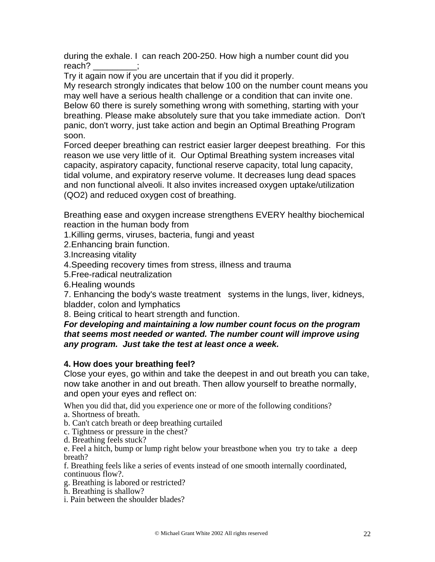during the exhale. I can reach 200-250. How high a number count did you reach? \_\_\_\_\_\_;

Try it again now if you are uncertain that if you did it properly.

My research strongly indicates that below 100 on the number count means you may well have a serious health challenge or a condition that can invite one. Below 60 there is surely something wrong with something, starting with your breathing. Please make absolutely sure that you take immediate action. Don't panic, don't worry, just take action and begin an Optimal Breathing Program soon.

Forced deeper breathing can restrict easier larger deepest breathing. For this reason we use very little of it. Our Optimal Breathing system increases vital capacity, aspiratory capacity, functional reserve capacity, total lung capacity, tidal volume, and expiratory reserve volume. It decreases lung dead spaces and non functional alveoli. It also invites increased oxygen uptake/utilization (QO2) and reduced oxygen cost of breathing.

Breathing ease and oxygen increase strengthens EVERY healthy biochemical reaction in the human body from

1.Killing germs, viruses, bacteria, fungi and yeast

2.Enhancing brain function.

3.Increasing vitality

4.Speeding recovery times from stress, illness and trauma

5.Free-radical neutralization

6.Healing wounds

7. Enhancing the body's waste treatment systems in the lungs, liver, kidneys, bladder, colon and lymphatics

8. Being critical to heart strength and function.

**For developing and maintaining a low number count focus on the program that seems most needed or wanted. The number count will improve using any program. Just take the test at least once a week.**

# **4. How does your breathing feel?**

Close your eyes, go within and take the deepest in and out breath you can take, now take another in and out breath. Then allow yourself to breathe normally, and open your eyes and reflect on:

When you did that, did you experience one or more of the following conditions?

a. Shortness of breath.

b. Can't catch breath or deep breathing curtailed

c. Tightness or pressure in the chest?

d. Breathing feels stuck?

e. Feel a hitch, bump or lump right below your breastbone when you try to take a deep breath?

f. Breathing feels like a series of events instead of one smooth internally coordinated, continuous flow?.

g. Breathing is labored or restricted?

h. Breathing is shallow?

i. Pain between the shoulder blades?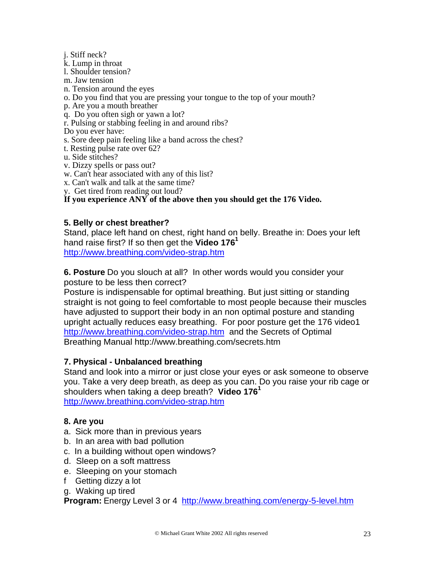j. Stiff neck? k. Lump in throat l. Shoulder tension? m. Jaw tension n. Tension around the eyes o. Do you find that you are pressing your tongue to the top of your mouth? p. Are you a mouth breather q. Do you often sigh or yawn a lot? r. Pulsing or stabbing feeling in and around ribs? Do you ever have: s. Sore deep pain feeling like a band across the chest? t. Resting pulse rate over 62? u. Side stitches? v. Dizzy spells or pass out? w. Can't hear associated with any of this list? x. Can't walk and talk at the same time? y. Get tired from reading out loud? **If you experience ANY of the above then you should get the 176 Video.**

# **5. Belly or chest breather?**

Stand, place left hand on chest, right hand on belly. Breathe in: Does your left hand raise first? If so then get the **Video 176<sup>1</sup>** <http://www.breathing.com/video-strap.htm>

**6. Posture** Do you slouch at all? In other words would you consider your posture to be less then correct?

Posture is indispensable for optimal breathing. But just sitting or standing straight is not going to feel comfortable to most people because their muscles have adjusted to support their body in an non optimal posture and standing upright actually reduces easy breathing. For poor posture get the 176 video1 <http://www.breathing.com/video-strap.htm> and the Secrets of Optimal Breathing Manual<http://www.breathing.com/secrets.htm>

# **7. Physical - Unbalanced breathing**

Stand and look into a mirror or just close your eyes or ask someone to observe you. Take a very deep breath, as deep as you can. Do you raise your rib cage or shoulders when taking a deep breath? **Video 176<sup>1</sup>** <http://www.breathing.com/video-strap.htm>

# **8. Are you**

- a.Sick more than in previous years
- b. In an area with bad pollution
- c. In a building without open windows?
- d. Sleep on a soft mattress
- e. Sleeping on your stomach
- f Getting dizzy a lot
- g. Waking up tired

**Program:** Energy Level 3 or 4 <http://www.breathing.com/energy-5-level.htm>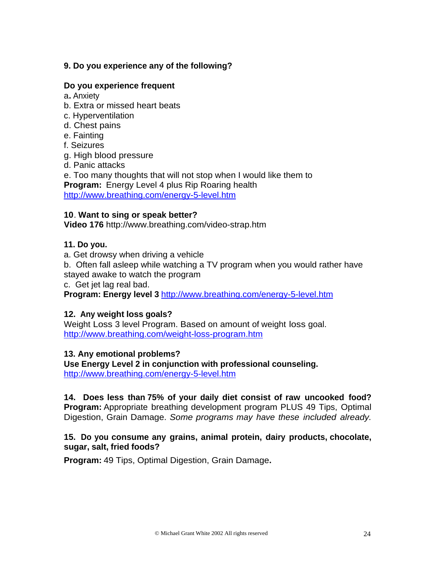# **9. Do you experience any of the following?**

## **Do you experience frequent**

- a**.** Anxiety
- b. Extra or missed heart beats
- c. Hyperventilation
- d. Chest pains
- e. Fainting
- f. Seizures
- g. High blood pressure
- d. Panic attacks

e. Too many thoughts that will not stop when I would like them to **Program:** Energy Level 4 plus Rip Roaring health <http://www.breathing.com/energy-5-level.htm>

# **10**. **Want to sing or speak better?**

**Video 176**<http://www.breathing.com/video-strap.htm>

# **11. Do you.**

- a. Get drowsy when driving a vehicle
- b. Often fall asleep while watching a TV program when you would rather have stayed awake to watch the program
- c. Get jet lag real bad.

**Program: Energy level 3** <http://www.breathing.com/energy-5-level.htm>

#### **12. Any weight loss goals?**

Weight Loss 3 level Program. Based on amount of weight loss goal. <http://www.breathing.com/weight-loss-program.htm>

# **13. Any emotional problems?**

**Use Energy Level 2 in conjunction with professional counseling.** <http://www.breathing.com/energy-5-level.htm>

## **14. Does less than 75% of your daily diet consist of raw uncooked food? Program:** Appropriate breathing development program PLUS 49 Tips, Optimal Digestion, Grain Damage. Some programs may have these included already.

## **15. Do you consume any grains, animal protein, dairy products, chocolate, sugar, salt, fried foods?**

**Program:** 49 Tips, Optimal Digestion, Grain Damage**.**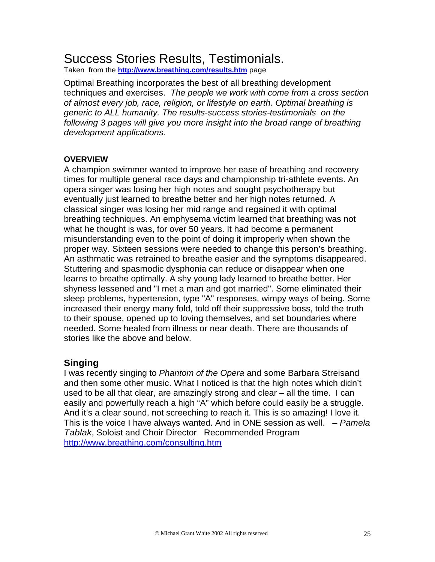# Success Stories Results, Testimonials.

Taken from the **<http://www.breathing.com/results.htm>** page

Optimal Breathing incorporates the best of all breathing development techniques and exercises. The people we work with come from a cross section of almost every job, race, religion, or lifestyle on earth. Optimal breathing is generic to ALL humanity. The results-success stories-testimonials on the following 3 pages will give you more insight into the broad range of breathing development applications.

# **OVERVIEW**

A champion swimmer wanted to improve her ease of breathing and recovery times for multiple general race days and championship tri-athlete events. An opera singer was losing her high notes and sought psychotherapy but eventually just learned to breathe better and her high notes returned. A classical singer was losing her mid range and regained it with optimal breathing techniques. An emphysema victim learned that breathing was not what he thought is was, for over 50 years. It had become a permanent misunderstanding even to the point of doing it improperly when shown the proper way. Sixteen sessions were needed to change this person's breathing. An asthmatic was retrained to breathe easier and the symptoms disappeared. Stuttering and spasmodic dysphonia can reduce or disappear when one learns to breathe optimally. A shy young lady learned to breathe better. Her shyness lessened and "I met a man and got married". Some eliminated their sleep problems, hypertension, type "A" responses, wimpy ways of being. Some increased their energy many fold, told off their suppressive boss, told the truth to their spouse, opened up to loving themselves, and set boundaries where needed. Some healed from illness or near death. There are thousands of stories like the above and below.

# **Singing**

I was recently singing to Phantom of the Opera and some Barbara Streisand and then some other music. What I noticed is that the high notes which didn't used to be all that clear, are amazingly strong and clear – all the time. I can easily and powerfully reach a high "A" which before could easily be a struggle. And it's a clear sound, not screeching to reach it. This is so amazing! I love it. This is the voice I have always wanted. And in ONE session as well.  $-Pamela$ Tablak, Soloist and Choir Director Recommended Program <http://www.breathing.com/consulting.htm>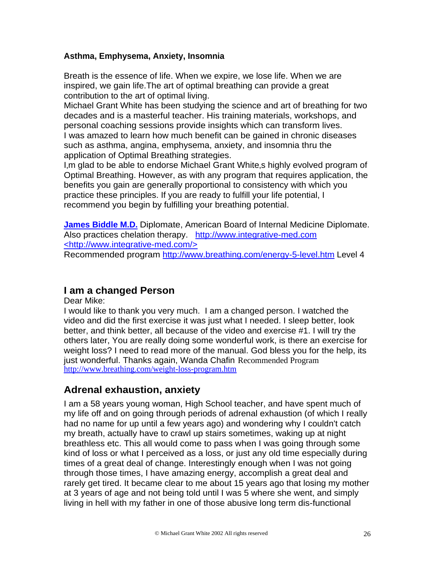# **Asthma, Emphysema, Anxiety, Insomnia**

Breath is the essence of life. When we expire, we lose life. When we are inspired, we gain life.The art of optimal breathing can provide a great contribution to the art of optimal living.

Michael Grant White has been studying the science and art of breathing for two decades and is a masterful teacher. His training materials, workshops, and personal coaching sessions provide insights which can transform lives. I was amazed to learn how much benefit can be gained in chronic diseases such as asthma, angina, emphysema, anxiety, and insomnia thru the application of Optimal Breathing strategies.

I<sub>r</sub>m glad to be able to endorse Michael Grant White, a highly evolved program of Optimal Breathing. However, as with any program that requires application, the benefits you gain are generally proportional to consistency with which you practice these principles. If you are ready to fulfill your life potential, I recommend you begin by fulfilling your breathing potential.

**James Biddle M.D.** Diplomate, American Board of Internal Medicine Diplomate. Also practices chelation therapy. <http://www.integrative-med.com> [<http://www.integrative-med.com/>](http://www.integrative-med.com/)

Recommended program <http://www.breathing.com/energy-5-level.htm> Level 4

# **I am a changed Person**

Dear Mike:

I would like to thank you very much. I am a changed person. I watched the video and did the first exercise it was just what I needed. I sleep better, look better, and think better, all because of the video and exercise #1. I will try the others later, You are really doing some wonderful work, is there an exercise for weight loss? I need to read more of the manual. God bless you for the help, its just wonderful. Thanks again, Wanda Chafin Recommended Program <http://www.breathing.com/weight-loss-program.htm>

# **Adrenal exhaustion, anxiety**

I am a 58 years young woman, High School teacher, and have spent much of my life off and on going through periods of adrenal exhaustion (of which I really had no name for up until a few years ago) and wondering why I couldn't catch my breath, actually have to crawl up stairs sometimes, waking up at night breathless etc. This all would come to pass when I was going through some kind of loss or what I perceived as a loss, or just any old time especially during times of a great deal of change. Interestingly enough when I was not going through those times, I have amazing energy, accomplish a great deal and rarely get tired. It became clear to me about 15 years ago that losing my mother at 3 years of age and not being told until I was 5 where she went, and simply living in hell with my father in one of those abusive long term dis-functional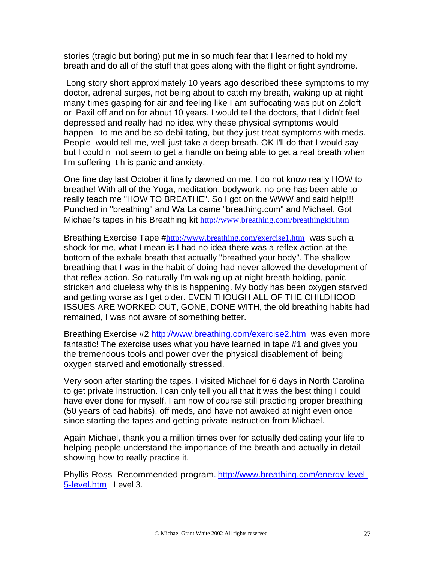stories (tragic but boring) put me in so much fear that I learned to hold my breath and do all of the stuff that goes along with the flight or fight syndrome.

 Long story short approximately 10 years ago described these symptoms to my doctor, adrenal surges, not being about to catch my breath, waking up at night many times gasping for air and feeling like I am suffocating was put on Zoloft or Paxil off and on for about 10 years. I would tell the doctors, that I didn't feel depressed and really had no idea why these physical symptoms would happen to me and be so debilitating, but they just treat symptoms with meds. People would tell me, well just take a deep breath. OK I'll do that I would say but I could n not seem to get a handle on being able to get a real breath when I'm suffering t h is panic and anxiety.

One fine day last October it finally dawned on me, I do not know really HOW to breathe! With all of the Yoga, meditation, bodywork, no one has been able to really teach me "HOW TO BREATHE". So I got on the WWW and said help!!! Punched in "breathing" and Wa La came "breathing.com" and Michael. Got Michael's tapes in his Breathing kit <http://www.breathing.com/breathingkit.htm>

Breathing Exercise Tape #<http://www.breathing.com/exercise1.htm> was such a shock for me, what I mean is I had no idea there was a reflex action at the bottom of the exhale breath that actually "breathed your body". The shallow breathing that I was in the habit of doing had never allowed the development of that reflex action. So naturally I'm waking up at night breath holding, panic stricken and clueless why this is happening. My body has been oxygen starved and getting worse as I get older. EVEN THOUGH ALL OF THE CHILDHOOD ISSUES ARE WORKED OUT, GONE, DONE WITH, the old breathing habits had remained, I was not aware of something better.

Breathing Exercise #2<http://www.breathing.com/exercise2.htm> was even more fantastic! The exercise uses what you have learned in tape #1 and gives you the tremendous tools and power over the physical disablement of being oxygen starved and emotionally stressed.

Very soon after starting the tapes, I visited Michael for 6 days in North Carolina to get private instruction. I can only tell you all that it was the best thing I could have ever done for myself. I am now of course still practicing proper breathing (50 years of bad habits), off meds, and have not awaked at night even once since starting the tapes and getting private instruction from Michael.

Again Michael, thank you a million times over for actually dedicating your life to helping people understand the importance of the breath and actually in detail showing how to really practice it.

Phyllis Ross Recommended program.<http://www.breathing.com/energy-level->5-level.htm Level 3.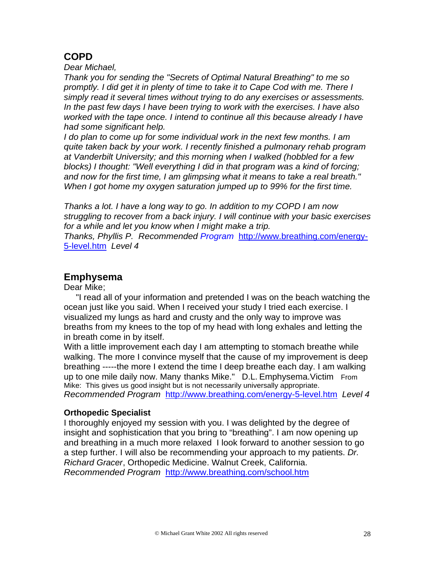# **COPD**

Dear Michael,

Thank you for sending the "Secrets of Optimal Natural Breathing" to me so promptly. I did get it in plenty of time to take it to Cape Cod with me. There I simply read it several times without trying to do any exercises or assessments. In the past few days I have been trying to work with the exercises. I have also worked with the tape once. I intend to continue all this because already I have had some significant help.

I do plan to come up for some individual work in the next few months. I am quite taken back by your work. I recently finished a pulmonary rehab program at Vanderbilt University; and this morning when I walked (hobbled for a few blocks) I thought: "Well everything I did in that program was a kind of forcing; and now for the first time, I am glimpsing what it means to take a real breath." When I got home my oxygen saturation jumped up to 99% for the first time.

Thanks a lot. I have a long way to go. In addition to my COPD I am now struggling to recover from a back injury. I will continue with your basic exercises for a while and let you know when I might make a trip.

Thanks, Phyllis P. Recommended Program <http://www.breathing.com/energy->5-level.htm Level 4

# **Emphysema**

Dear Mike;

 "I read all of your information and pretended I was on the beach watching the ocean just like you said. When I received your study I tried each exercise. I visualized my lungs as hard and crusty and the only way to improve was breaths from my knees to the top of my head with long exhales and letting the in breath come in by itself.

With a little improvement each day I am attempting to stomach breathe while walking. The more I convince myself that the cause of my improvement is deep breathing -----the more I extend the time I deep breathe each day. I am walking up to one mile daily now. Many thanks Mike." D.L. Emphysema.Victim From Mike: This gives us good insight but is not necessarily universally appropriate. Recommended Program <http://www.breathing.com/energy-5-level.htm> Level 4

# **Orthopedic Specialist**

I thoroughly enjoyed my session with you. I was delighted by the degree of insight and sophistication that you bring to "breathing". I am now opening up and breathing in a much more relaxed I look forward to another session to go a step further. I will also be recommending your approach to my patients. Dr. Richard Gracer, Orthopedic Medicine. Walnut Creek, California. Recommended Program <http://www.breathing.com/school.htm>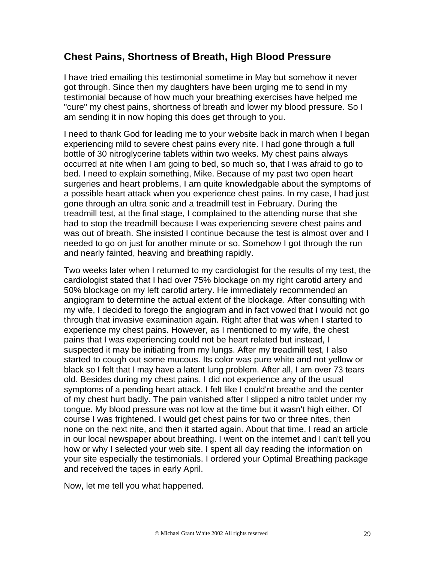# **Chest Pains, Shortness of Breath, High Blood Pressure**

I have tried emailing this testimonial sometime in May but somehow it never got through. Since then my daughters have been urging me to send in my testimonial because of how much your breathing exercises have helped me "cure" my chest pains, shortness of breath and lower my blood pressure. So I am sending it in now hoping this does get through to you.

I need to thank God for leading me to your website back in march when I began experiencing mild to severe chest pains every nite. I had gone through a full bottle of 30 nitroglycerine tablets within two weeks. My chest pains always occurred at nite when I am going to bed, so much so, that I was afraid to go to bed. I need to explain something, Mike. Because of my past two open heart surgeries and heart problems, I am quite knowledgable about the symptoms of a possible heart attack when you experience chest pains. In my case, I had just gone through an ultra sonic and a treadmill test in February. During the treadmill test, at the final stage, I complained to the attending nurse that she had to stop the treadmill because I was experiencing severe chest pains and was out of breath. She insisted I continue because the test is almost over and I needed to go on just for another minute or so. Somehow I got through the run and nearly fainted, heaving and breathing rapidly.

Two weeks later when I returned to my cardiologist for the results of my test, the cardiologist stated that I had over 75% blockage on my right carotid artery and 50% blockage on my left carotid artery. He immediately recommended an angiogram to determine the actual extent of the blockage. After consulting with my wife, I decided to forego the angiogram and in fact vowed that I would not go through that invasive examination again. Right after that was when I started to experience my chest pains. However, as I mentioned to my wife, the chest pains that I was experiencing could not be heart related but instead, I suspected it may be initiating from my lungs. After my treadmill test, I also started to cough out some mucous. Its color was pure white and not yellow or black so I felt that I may have a latent lung problem. After all, I am over 73 tears old. Besides during my chest pains, I did not experience any of the usual symptoms of a pending heart attack. I felt like I could'nt breathe and the center of my chest hurt badly. The pain vanished after I slipped a nitro tablet under my tongue. My blood pressure was not low at the time but it wasn't high either. Of course I was frightened. I would get chest pains for two or three nites, then none on the next nite, and then it started again. About that time, I read an article in our local newspaper about breathing. I went on the internet and I can't tell you how or why I selected your web site. I spent all day reading the information on your site especially the testimonials. I ordered your Optimal Breathing package and received the tapes in early April.

Now, let me tell you what happened.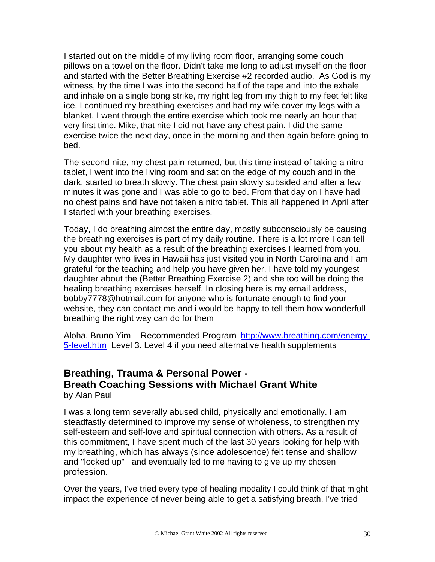I started out on the middle of my living room floor, arranging some couch pillows on a towel on the floor. Didn't take me long to adjust myself on the floor and started with the Better Breathing Exercise #2 recorded audio. As God is my witness, by the time I was into the second half of the tape and into the exhale and inhale on a single bong strike, my right leg from my thigh to my feet felt like ice. I continued my breathing exercises and had my wife cover my legs with a blanket. I went through the entire exercise which took me nearly an hour that very first time. Mike, that nite I did not have any chest pain. I did the same exercise twice the next day, once in the morning and then again before going to bed.

The second nite, my chest pain returned, but this time instead of taking a nitro tablet, I went into the living room and sat on the edge of my couch and in the dark, started to breath slowly. The chest pain slowly subsided and after a few minutes it was gone and I was able to go to bed. From that day on I have had no chest pains and have not taken a nitro tablet. This all happened in April after I started with your breathing exercises.

Today, I do breathing almost the entire day, mostly subconsciously be causing the breathing exercises is part of my daily routine. There is a lot more I can tell you about my health as a result of the breathing exercises I learned from you. My daughter who lives in Hawaii has just visited you in North Carolina and I am grateful for the teaching and help you have given her. I have told my youngest daughter about the (Better Breathing Exercise 2) and she too will be doing the healing breathing exercises herself. In closing here is my email address, [bobby7778@hotmail.com](mailto:bobby7778@hotmail.com) for anyone who is fortunate enough to find your website, they can contact me and i would be happy to tell them how wonderfull breathing the right way can do for them

Aloha, Bruno Yim Recommended Program <http://www.breathing.com/energy->5-level.htm Level 3. Level 4 if you need alternative health supplements

# **Breathing, Trauma & Personal Power - Breath Coaching Sessions with Michael Grant White** by Alan Paul

I was a long term severally abused child, physically and emotionally. I am steadfastly determined to improve my sense of wholeness, to strengthen my self-esteem and self-love and spiritual connection with others. As a result of this commitment, I have spent much of the last 30 years looking for help with my breathing, which has always (since adolescence) felt tense and shallow and "locked up" and eventually led to me having to give up my chosen profession.

Over the years, I've tried every type of healing modality I could think of that might impact the experience of never being able to get a satisfying breath. I've tried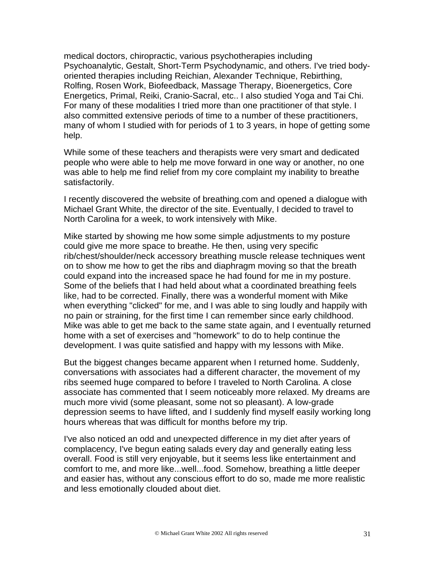medical doctors, chiropractic, various psychotherapies including Psychoanalytic, Gestalt, Short-Term Psychodynamic, and others. I've tried bodyoriented therapies including Reichian, Alexander Technique, Rebirthing, Rolfing, Rosen Work, Biofeedback, Massage Therapy, Bioenergetics, Core Energetics, Primal, Reiki, Cranio-Sacral, etc.. I also studied Yoga and Tai Chi. For many of these modalities I tried more than one practitioner of that style. I also committed extensive periods of time to a number of these practitioners, many of whom I studied with for periods of 1 to 3 years, in hope of getting some help.

While some of these teachers and therapists were very smart and dedicated people who were able to help me move forward in one way or another, no one was able to help me find relief from my core complaint my inability to breathe satisfactorily.

I recently discovered the website of breathing.com and opened a dialogue with Michael Grant White, the director of the site. Eventually, I decided to travel to North Carolina for a week, to work intensively with Mike.

Mike started by showing me how some simple adjustments to my posture could give me more space to breathe. He then, using very specific rib/chest/shoulder/neck accessory breathing muscle release techniques went on to show me how to get the ribs and diaphragm moving so that the breath could expand into the increased space he had found for me in my posture. Some of the beliefs that I had held about what a coordinated breathing feels like, had to be corrected. Finally, there was a wonderful moment with Mike when everything "clicked" for me, and I was able to sing loudly and happily with no pain or straining, for the first time I can remember since early childhood. Mike was able to get me back to the same state again, and I eventually returned home with a set of exercises and "homework" to do to help continue the development. I was quite satisfied and happy with my lessons with Mike.

But the biggest changes became apparent when I returned home. Suddenly, conversations with associates had a different character, the movement of my ribs seemed huge compared to before I traveled to North Carolina. A close associate has commented that I seem noticeably more relaxed. My dreams are much more vivid (some pleasant, some not so pleasant). A low-grade depression seems to have lifted, and I suddenly find myself easily working long hours whereas that was difficult for months before my trip.

I've also noticed an odd and unexpected difference in my diet after years of complacency, I've begun eating salads every day and generally eating less overall. Food is still very enjoyable, but it seems less like entertainment and comfort to me, and more like...well...food. Somehow, breathing a little deeper and easier has, without any conscious effort to do so, made me more realistic and less emotionally clouded about diet.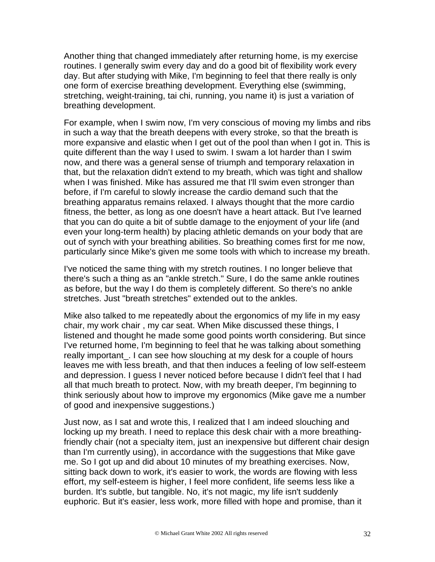Another thing that changed immediately after returning home, is my exercise routines. I generally swim every day and do a good bit of flexibility work every day. But after studying with Mike, I'm beginning to feel that there really is only one form of exercise breathing development. Everything else (swimming, stretching, weight-training, tai chi, running, you name it) is just a variation of breathing development.

For example, when I swim now, I'm very conscious of moving my limbs and ribs in such a way that the breath deepens with every stroke, so that the breath is more expansive and elastic when I get out of the pool than when I got in. This is quite different than the way I used to swim. I swam a lot harder than I swim now, and there was a general sense of triumph and temporary relaxation in that, but the relaxation didn't extend to my breath, which was tight and shallow when I was finished. Mike has assured me that I'll swim even stronger than before, if I'm careful to slowly increase the cardio demand such that the breathing apparatus remains relaxed. I always thought that the more cardio fitness, the better, as long as one doesn't have a heart attack. But I've learned that you can do quite a bit of subtle damage to the enjoyment of your life (and even your long-term health) by placing athletic demands on your body that are out of synch with your breathing abilities. So breathing comes first for me now, particularly since Mike's given me some tools with which to increase my breath.

I've noticed the same thing with my stretch routines. I no longer believe that there's such a thing as an "ankle stretch." Sure, I do the same ankle routines as before, but the way I do them is completely different. So there's no ankle stretches. Just "breath stretches" extended out to the ankles.

Mike also talked to me repeatedly about the ergonomics of my life in my easy chair, my work chair , my car seat. When Mike discussed these things, I listened and thought he made some good points worth considering. But since I've returned home, I'm beginning to feel that he was talking about something really important. I can see how slouching at my desk for a couple of hours leaves me with less breath, and that then induces a feeling of low self-esteem and depression. I guess I never noticed before because I didn't feel that I had all that much breath to protect. Now, with my breath deeper, I'm beginning to think seriously about how to improve my ergonomics (Mike gave me a number of good and inexpensive suggestions.)

Just now, as I sat and wrote this, I realized that I am indeed slouching and locking up my breath. I need to replace this desk chair with a more breathingfriendly chair (not a specialty item, just an inexpensive but different chair design than I'm currently using), in accordance with the suggestions that Mike gave me. So I got up and did about 10 minutes of my breathing exercises. Now, sitting back down to work, it's easier to work, the words are flowing with less effort, my self-esteem is higher, I feel more confident, life seems less like a burden. It's subtle, but tangible. No, it's not magic, my life isn't suddenly euphoric. But it's easier, less work, more filled with hope and promise, than it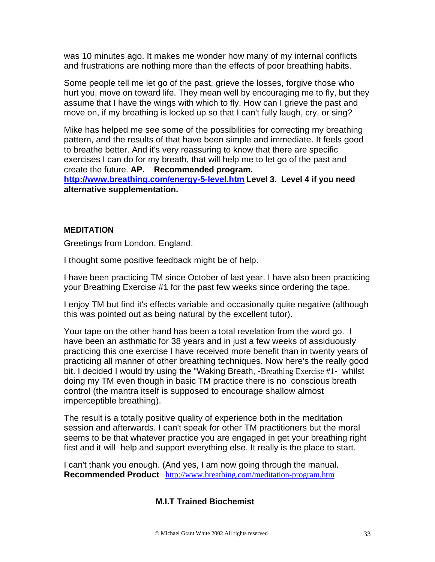was 10 minutes ago. It makes me wonder how many of my internal conflicts and frustrations are nothing more than the effects of poor breathing habits.

Some people tell me let go of the past, grieve the losses, forgive those who hurt you, move on toward life. They mean well by encouraging me to fly, but they assume that I have the wings with which to fly. How can I grieve the past and move on, if my breathing is locked up so that I can't fully laugh, cry, or sing?

Mike has helped me see some of the possibilities for correcting my breathing pattern, and the results of that have been simple and immediate. It feels good to breathe better. And it's very reassuring to know that there are specific exercises I can do for my breath, that will help me to let go of the past and create the future. **AP. Recommended program.**

**<http://www.breathing.com/energy-5-level.htm> Level 3. Level 4 if you need alternative supplementation.**

# **MEDITATION**

Greetings from London, England.

I thought some positive feedback might be of help.

I have been practicing TM since October of last year. I have also been practicing your Breathing Exercise #1 for the past few weeks since ordering the tape.

I enjoy TM but find it's effects variable and occasionally quite negative (although this was pointed out as being natural by the excellent tutor).

Your tape on the other hand has been a total revelation from the word go. I have been an asthmatic for 38 years and in just a few weeks of assiduously practicing this one exercise I have received more benefit than in twenty years of practicing all manner of other breathing techniques. Now here's the really good bit. I decided I would try using the "Waking Breath, -Breathing Exercise #1- whilst doing my TM even though in basic TM practice there is no conscious breath control (the mantra itself is supposed to encourage shallow almost imperceptible breathing).

The result is a totally positive quality of experience both in the meditation session and afterwards. I can't speak for other TM practitioners but the moral seems to be that whatever practice you are engaged in get your breathing right first and it will help and support everything else. It really is the place to start.

I can't thank you enough. (And yes, I am now going through the manual. **Recommended Product** <http://www.breathing.com/meditation-program.htm>

# **M.I.T Trained Biochemist**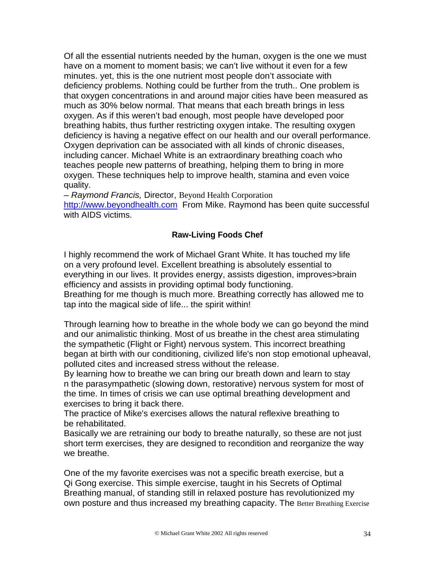Of all the essential nutrients needed by the human, oxygen is the one we must have on a moment to moment basis; we can't live without it even for a few minutes. yet, this is the one nutrient most people don't associate with deficiency problems. Nothing could be further from the truth.. One problem is that oxygen concentrations in and around major cities have been measured as much as 30% below normal. That means that each breath brings in less oxygen. As if this weren't bad enough, most people have developed poor breathing habits, thus further restricting oxygen intake. The resulting oxygen deficiency is having a negative effect on our health and our overall performance. Oxygen deprivation can be associated with all kinds of chronic diseases, including cancer. Michael White is an extraordinary breathing coach who teaches people new patterns of breathing, helping them to bring in more oxygen. These techniques help to improve health, stamina and even voice quality.

– Raymond Francis, Director, Beyond Health Corporation <http://www.beyondhealth.com> From Mike. Raymond has been quite successful with AIDS victims.

# **Raw-Living Foods Chef**

I highly recommend the work of Michael Grant White. It has touched my life on a very profound level. Excellent breathing is absolutely essential to everything in our lives. It provides energy, assists digestion, improves>brain efficiency and assists in providing optimal body functioning. Breathing for me though is much more. Breathing correctly has allowed me to tap into the magical side of life... the spirit within!

Through learning how to breathe in the whole body we can go beyond the mind and our animalistic thinking. Most of us breathe in the chest area stimulating the sympathetic (Flight or Fight) nervous system. This incorrect breathing began at birth with our conditioning, civilized life's non stop emotional upheaval, polluted cites and increased stress without the release.

By learning how to breathe we can bring our breath down and learn to stay n the parasympathetic (slowing down, restorative) nervous system for most of the time. In times of crisis we can use optimal breathing development and exercises to bring it back there.

The practice of Mike's exercises allows the natural reflexive breathing to be rehabilitated.

Basically we are retraining our body to breathe naturally, so these are not just short term exercises, they are designed to recondition and reorganize the way we breathe.

One of the my favorite exercises was not a specific breath exercise, but a Qi Gong exercise. This simple exercise, taught in his Secrets of Optimal Breathing manual, of standing still in relaxed posture has revolutionized my own posture and thus increased my breathing capacity. The Better Breathing Exercise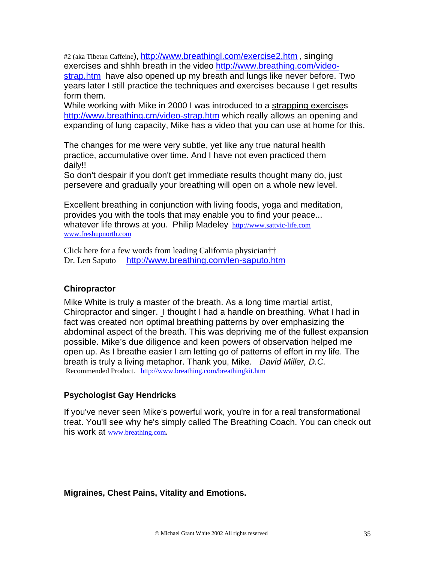#2 (aka Tibetan Caffeine),<http://www.breathingl.com/exercise2.htm> , singing exercises and shhh breath in the video [http://www.breathing.com/video](http://www.breathing.com/video-)strap.htm have also opened up my breath and lungs like never before. Two years later I still practice the techniques and exercises because I get results form them.

While working with Mike in 2000 I was introduced to a strapping exercises <http://www.breathing.cm/video-strap.htm> which really allows an opening and expanding of lung capacity, Mike has a video that you can use at home for this.

The changes for me were very subtle, yet like any true natural health practice, accumulative over time. And I have not even practiced them daily!!

So don't despair if you don't get immediate results thought many do, just persevere and gradually your breathing will open on a whole new level.

Excellent breathing in conjunction with living foods, yoga and meditation, provides you with the tools that may enable you to find your peace... whatever life throws at you. Philip Madeley http://www.sattvic-life.com www.freshupnorth.com

Click here for a few words from leading California physician†† Dr. Len Saputo <http://www.breathing.com/len-saputo.htm>

#### **Chiropractor**

Mike White is truly a master of the breath. As a long time martial artist, Chiropractor and singer. I thought I had a handle on breathing. What I had in fact was created non optimal breathing patterns by over emphasizing the abdominal aspect of the breath. This was depriving me of the fullest expansion possible. Mike's due diligence and keen powers of observation helped me open up. As I breathe easier I am letting go of patterns of effort in my life. The breath is truly a living metaphor. Thank you, Mike. David Miller, D.C. Recommended Product. <http://www.breathing.com/breathingkit.htm>

# **Psychologist Gay Hendricks**

If you've never seen Mike's powerful work, you're in for a real transformational treat. You'll see why he's simply called The Breathing Coach. You can check out his work at www.breathing.com.

#### **Migraines, Chest Pains, Vitality and Emotions.**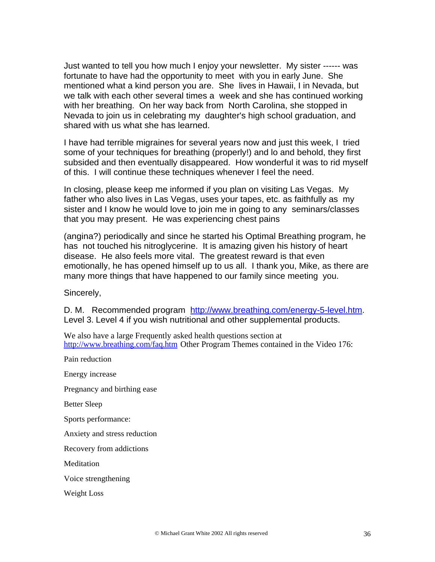Just wanted to tell you how much I enjoy your newsletter. My sister ------ was fortunate to have had the opportunity to meet with you in early June. She mentioned what a kind person you are. She lives in Hawaii, I in Nevada, but we talk with each other several times a week and she has continued working with her breathing. On her way back from North Carolina, she stopped in Nevada to join us in celebrating my daughter's high school graduation, and shared with us what she has learned.

I have had terrible migraines for several years now and just this week, I tried some of your techniques for breathing (properly!) and lo and behold, they first subsided and then eventually disappeared. How wonderful it was to rid myself of this. I will continue these techniques whenever I feel the need.

In closing, please keep me informed if you plan on visiting Las Vegas. My father who also lives in Las Vegas, uses your tapes, etc. as faithfully as my sister and I know he would love to join me in going to any seminars/classes that you may present. He was experiencing chest pains

(angina?) periodically and since he started his Optimal Breathing program, he has not touched his nitroglycerine. It is amazing given his history of heart disease. He also feels more vital. The greatest reward is that even emotionally, he has opened himself up to us all. I thank you, Mike, as there are many more things that have happened to our family since meeting you.

Sincerely,

D. M. Recommended program <http://www.breathing.com/energy-5-level.htm>. Level 3. Level 4 if you wish nutritional and other supplemental products.

We also have a large Frequently asked health questions section at <http://www.breathing.com/faq.htm>Other Program Themes contained in the Video 176:

Pain reduction Energy increase Pregnancy and birthing ease Better Sleep Sports performance: Anxiety and stress reduction Recovery from addictions **Meditation** Voice strengthening Weight Loss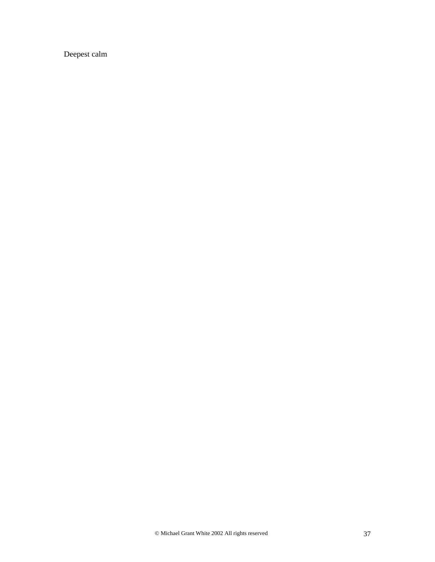Deepest calm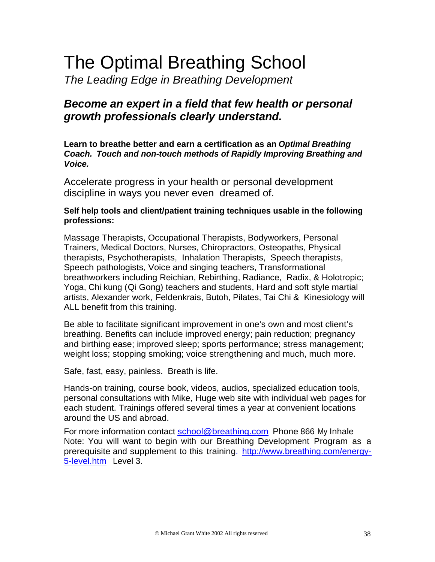# The Optimal Breathing School

The Leading Edge in Breathing Development

# **Become an expert in a field that few health or personal growth professionals clearly understand.**

**Learn to breathe better and earn a certification as an Optimal Breathing Coach. Touch and non-touch methods of Rapidly Improving Breathing and Voice.**

Accelerate progress in your health or personal development discipline in ways you never even dreamed of.

# **Self help tools and client/patient training techniques usable in the following professions:**

Massage Therapists, Occupational Therapists, Bodyworkers, Personal Trainers, Medical Doctors, Nurses, Chiropractors, Osteopaths, Physical therapists, Psychotherapists, Inhalation Therapists, Speech therapists, Speech pathologists, Voice and singing teachers, Transformational breathworkers including Reichian, Rebirthing, Radiance, Radix, & Holotropic; Yoga, Chi kung (Qi Gong) teachers and students, Hard and soft style martial artists, Alexander work, Feldenkrais, Butoh, Pilates, Tai Chi & Kinesiology will ALL benefit from this training.

Be able to facilitate significant improvement in one's own and most client's breathing. Benefits can include improved energy; pain reduction; pregnancy and birthing ease; improved sleep; sports performance; stress management; weight loss; stopping smoking; voice strengthening and much, much more.

Safe, fast, easy, painless. Breath is life.

Hands-on training, course book, videos, audios, specialized education tools, personal consultations with Mike, Huge web site with individual web pages for each student. Trainings offered several times a year at convenient locations around the US and abroad.

For more information contact [school@breathing.com](mailto:school@breathing.com) Phone 866 My Inhale Note: You will want to begin with our Breathing Development Program as a prerequisite and supplement to this training. <http://www.breathing.com/energy->5-level.htm Level 3.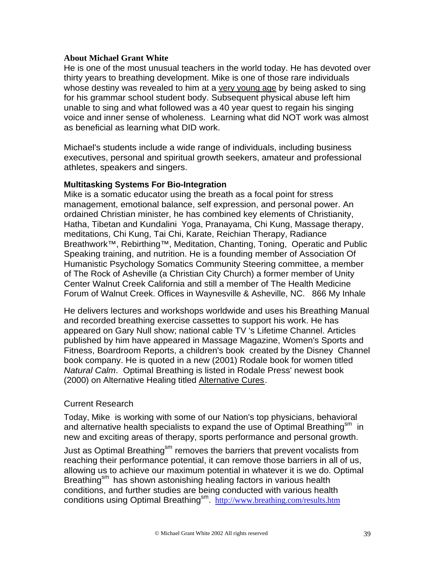#### **About Michael Grant White**

He is one of the most unusual teachers in the world today. He has devoted over thirty years to breathing development. Mike is one of those rare individuals whose destiny was revealed to him at a very young age by being asked to sing for his grammar school student body. Subsequent physical abuse left him unable to sing and what followed was a 40 year quest to regain his singing voice and inner sense of wholeness. Learning what did NOT work was almost as beneficial as learning what DID work.

Michael's students include a wide range of individuals, including business executives, personal and spiritual growth seekers, amateur and professional athletes, speakers and singers.

## **Multitasking Systems For Bio-Integration**

Mike is a somatic educator using the breath as a focal point for stress management, emotional balance, self expression, and personal power. An ordained Christian minister, he has combined key elements of Christianity, Hatha, Tibetan and Kundalini Yoga, Pranayama, Chi Kung, Massage therapy, meditations, Chi Kung, Tai Chi, Karate, Reichian Therapy, Radiance Breathwork™, Rebirthing™, Meditation, Chanting, Toning, Operatic and Public Speaking training, and nutrition. He is a founding member of Association Of Humanistic Psychology Somatics Community Steering committee, a member of The Rock of Asheville (a Christian City Church) a former member of Unity Center Walnut Creek California and still a member of The Health Medicine Forum of Walnut Creek. Offices in Waynesville & Asheville, NC. 866 My Inhale

He delivers lectures and workshops worldwide and uses his Breathing Manual and recorded breathing exercise cassettes to support his work. He has appeared on Gary Null show; national cable TV 's Lifetime Channel. Articles published by him have appeared in Massage Magazine, Women's Sports and Fitness, Boardroom Reports, a children's book created by the Disney Channel book company. He is quoted in a new (2001) Rodale book for women titled Natural Calm. Optimal Breathing is listed in Rodale Press' newest book (2000) on Alternative Healing titled Alternative Cures.

# Current Research

Today, Mike is working with some of our Nation's top physicians, behavioral and alternative health specialists to expand the use of Optimal Breathing<sup>sm</sup> in new and exciting areas of therapy, sports performance and personal growth.

Just as Optimal Breathing<sup>sm</sup> removes the barriers that prevent vocalists from reaching their performance potential, it can remove those barriers in all of us, allowing us to achieve our maximum potential in whatever it is we do. Optimal Breathing<sup>sm</sup> has shown astonishing healing factors in various health conditions, and further studies are being conducted with various health conditions using Optimal Breathing<sup>sm</sup>. <http://www.breathing.com/results.htm>